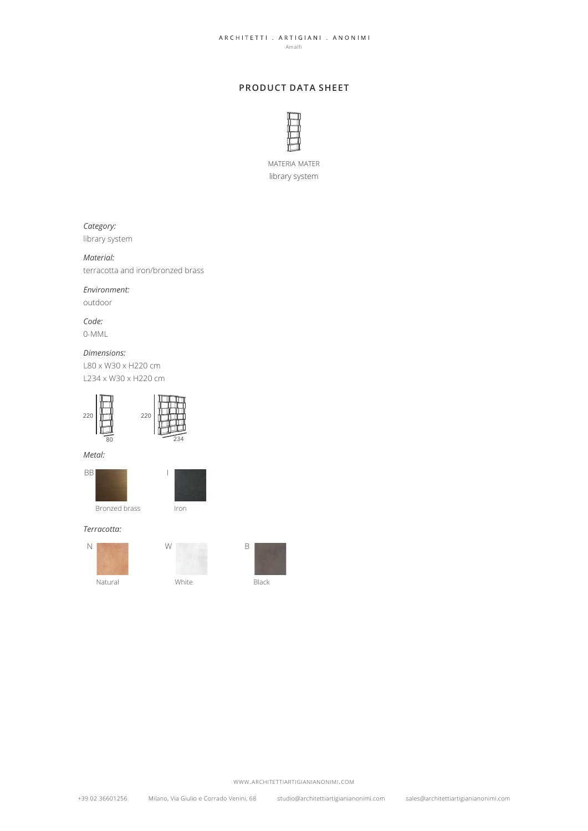#### ARCHITETTI . ARTIGIANI . ANONIMI Amalfi

# **PRODUCT DATA SHEET**



materia mater library system

# *Category:*

library system

# *Material:*

terracotta and iron/bronzed brass

## *Environment:*

outdoor

*Code:* 0-MML

## *Dimensions:*

L80 x W30 x H220 cm L234 x W30 x H220 cm









#### *Terracotta:*

Natural **White** White Black N W B





www.architettiartigianianonimi.com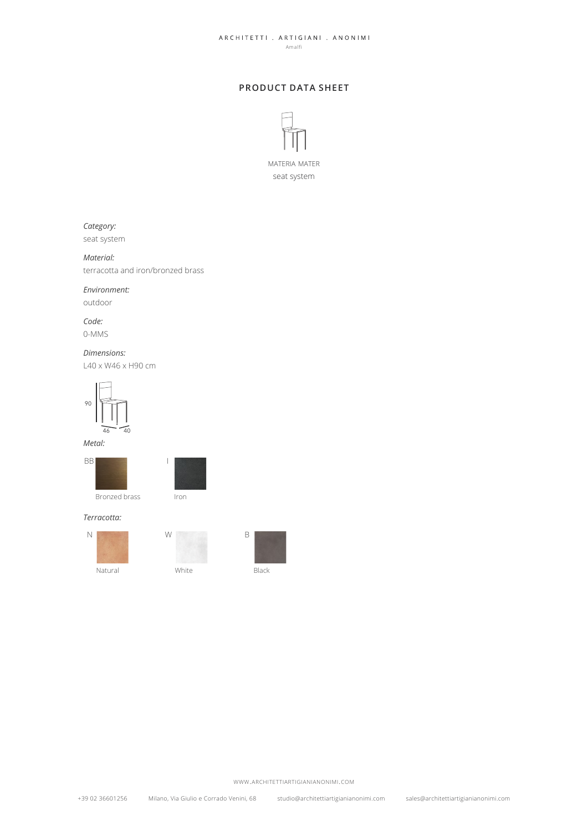#### ARCHITETTI . ARTIGIANI . ANONIMI Amalfi

# **PRODUCT DATA SHEET**



# *Category:*

seat system

## *Material:*

terracotta and iron/bronzed brass

### *Environment:*

outdoor

*Code:* 0-MMS

## *Dimensions:*

L40 x W46 x H90 cm



#### *Metal:*



Bronzed brass Iron



#### *Terracotta:*